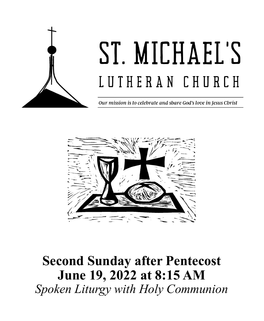

# ST. MICHAEL'S LUTHERAN CHURCH

Our mission is to celebrate and share God's love in Jesus Christ



## **Second Sunday after Pentecost June 19, 2022 at 8:15 AM** *Spoken Liturgy with Holy Communion*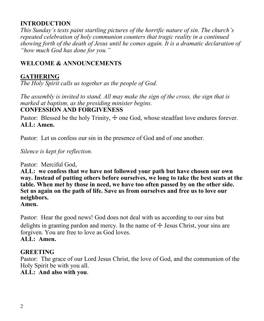#### **INTRODUCTION**

*This Sunday's texts paint startling pictures of the horrific nature of sin. The church's repeated celebration of holy communion counters that tragic reality in a continued showing forth of the death of Jesus until he comes again. It is a dramatic declaration of "how much God has done for you."*

#### **WELCOME & ANNOUNCEMENTS**

#### **GATHERING**

*The Holy Spirit calls us together as the people of God.*

*The assembly is invited to stand. All may make the sign of the cross, the sign that is marked at baptism, as the presiding minister begins.* **CONFESSION AND FORGIVENESS**

Pastor: Blessed be the holy Trinity,  $\pm$  one God, whose steadfast love endures forever. **ALL: Amen.**

Pastor: Let us confess our sin in the presence of God and of one another.

*Silence is kept for reflection.*

Pastor: Merciful God,

**ALL: we confess that we have not followed your path but have chosen our own way. Instead of putting others before ourselves, we long to take the best seats at the table. When met by those in need, we have too often passed by on the other side. Set us again on the path of life. Save us from ourselves and free us to love our neighbors.**

**Amen.**

Pastor: Hear the good news! God does not deal with us according to our sins but delights in granting pardon and mercy. In the name of  $\pm$  Jesus Christ, your sins are forgiven. You are free to love as God loves.

#### **ALL: Amen.**

#### **GREETING**

Pastor: The grace of our Lord Jesus Christ, the love of God, and the communion of the Holy Spirit be with you all. **ALL: And also with you**.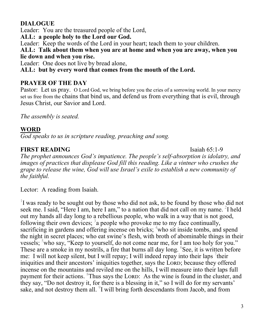#### **DIALOGUE**

Leader: You are the treasured people of the Lord,

**ALL: a people holy to the Lord our God.**

Leader: Keep the words of the Lord in your heart; teach them to your children.

**ALL: Talk about them when you are at home and when you are away, when you lie down and when you rise.**

Leader: One does not live by bread alone,

**ALL: but by every word that comes from the mouth of the Lord.**

#### **PRAYER OF THE DAY**

Pastor: Let us pray. O Lord God, we bring before you the cries of a sorrowing world. In your mercy set us free from the chains that bind us, and defend us from everything that is evil, through Jesus Christ, our Savior and Lord.

*The assembly is seated.*

#### **WORD**

*God speaks to us in scripture reading, preaching and song.* 

#### **FIRST READING** Isaiah 65:1-9

*The prophet announces God's impatience. The people's self-absorption is idolatry, and images of practices that displease God fill this reading. Like a vintner who crushes the grape to release the wine, God will use Israel's exile to establish a new community of the faithful.*

Lector: A reading from Isaiah.

<sup>1</sup>I was ready to be sought out by those who did not ask, to be found by those who did not seek me. I said, "Here I am, here I am," to a nation that did not call on my name.  $2I$  held out my hands all day long to a rebellious people, who walk in a way that is not good, following their own devices;  $3a$  people who provoke me to my face continually, sacrificing in gardens and offering incense on bricks; <sup>4</sup>who sit inside tombs, and spend the night in secret places; who eat swine's flesh, with broth of abominable things in their vessels; <sup>5</sup>who say, "Keep to yourself, do not come near me, for I am too holy for you." These are a smoke in my nostrils, a fire that burns all day long. <sup>6</sup>See, it is written before me: I will not keep silent, but I will repay; I will indeed repay into their laps  $\frac{7}{1}$ their iniquities and their ancestors' iniquities together, says the LORD; because they offered incense on the mountains and reviled me on the hills, I will measure into their laps full payment for their actions. <sup>8</sup>Thus says the LORD: As the wine is found in the cluster, and they say, "Do not destroy it, for there is a blessing in it," so I will do for my servants' sake, and not destroy them all. <sup>9</sup>I will bring forth descendants from Jacob, and from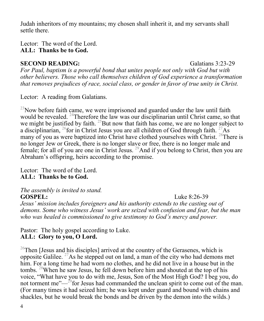Judah inheritors of my mountains; my chosen shall inherit it, and my servants shall settle there.

#### Lector: The word of the Lord. **ALL: Thanks be to God.**

#### **SECOND READING:** Galatians 3:23-29

*For Paul, baptism is a powerful bond that unites people not only with God but with other believers. Those who call themselves children of God experience a transformation that removes prejudices of race, social class, or gender in favor of true unity in Christ.*

Lector: A reading from Galatians.

 $^{23}$ Now before faith came, we were imprisoned and guarded under the law until faith would be revealed. <sup>24</sup>Therefore the law was our disciplinarian until Christ came, so that we might be justified by faith. <sup>25</sup>But now that faith has come, we are no longer subject to a disciplinarian,  $^{26}$  for in Christ Jesus you are all children of God through faith.  $^{27}$ As many of you as were baptized into Christ have clothed yourselves with Christ. <sup>28</sup>There is no longer Jew or Greek, there is no longer slave or free, there is no longer male and female; for all of you are one in Christ Jesus. <sup>29</sup>And if you belong to Christ, then you are Abraham's offspring, heirs according to the promise.

Lector: The word of the Lord. **ALL: Thanks be to God.**

*The assembly is invited to stand.*

**GOSPEL:** Luke 8:26-39 *Jesus' mission includes foreigners and his authority extends to the casting out of demons. Some who witness Jesus' work are seized with confusion and fear, but the man who was healed is commissioned to give testimony to God's mercy and power.*

Pastor: The holy gospel according to Luke. **ALL: Glory to you, O Lord.**

<sup>26</sup>Then [Jesus and his disciples] arrived at the country of the Gerasenes, which is opposite Galilee. <sup>27</sup>As he stepped out on land, a man of the city who had demons met him. For a long time he had worn no clothes, and he did not live in a house but in the tombs. <sup>28</sup>When he saw Jesus, he fell down before him and shouted at the top of his voice, "What have you to do with me, Jesus, Son of the Most High God? I beg you, do not torment me" $-$ <sup>29</sup>for Jesus had commanded the unclean spirit to come out of the man. (For many times it had seized him; he was kept under guard and bound with chains and shackles, but he would break the bonds and be driven by the demon into the wilds.)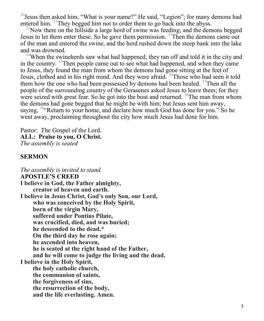$30$  Jesus then asked him, "What is your name?" He said, "Legion"; for many demons had entered him. <sup>31</sup>They begged him not to order them to go back into the abyss.

 $32$ Now there on the hillside a large herd of swine was feeding; and the demons begged Jesus to let them enter these. So he gave them permission. <sup>33</sup>Then the demons came out of the man and entered the swine, and the herd rushed down the steep bank into the lake and was drowned.

<sup>34</sup>When the swineherds saw what had happened, they ran off and told it in the city and in the country. <sup>35</sup>Then people came out to see what had happened, and when they came to Jesus, they found the man from whom the demons had gone sitting at the feet of Jesus, clothed and in his right mind. And they were afraid. <sup>36</sup>Those who had seen it told them how the one who had been possessed by demons had been healed.  $37$ Then all the people of the surrounding country of the Gerasenes asked Jesus to leave them; for they were seized with great fear. So he got into the boat and returned. <sup>38</sup>The man from whom the demons had gone begged that he might be with him; but Jesus sent him away, saying, <sup>39</sup> Return to your home, and declare how much God has done for you." So he went away, proclaiming throughout the city how much Jesus had done for him.

Pastor: The Gospel of the Lord. **ALL: Praise to you, O Christ.** *The assembly is seated*

#### **SERMON**

*The assembly is invited to stand.*  **APOSTLE'S CREED I believe in God, the Father almighty, creator of heaven and earth. I believe in Jesus Christ, God's only Son, our Lord, who was conceived by the Holy Spirit, born of the virgin Mary, suffered under Pontius Pilate, was crucified, died, and was buried; he descended to the dead.\* On the third day he rose again; he ascended into heaven, he is seated at the right hand of the Father, and he will come to judge the living and the dead. I believe in the Holy Spirit, the holy catholic church, the communion of saints, the forgiveness of sins, the resurrection of the body, and the life everlasting. Amen.**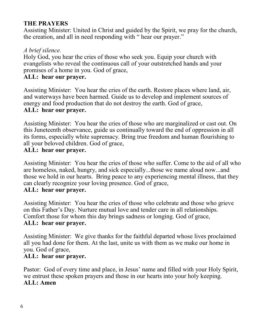#### **THE PRAYERS**

Assisting Minister: United in Christ and guided by the Spirit, we pray for the church, the creation, and all in need responding with " hear our prayer."

#### *A brief silence.*

Holy God, you hear the cries of those who seek you. Equip your church with evangelists who reveal the continuous call of your outstretched hands and your promises of a home in you. God of grace,

#### **ALL: hear our prayer.**

Assisting Minister: You hear the cries of the earth. Restore places where land, air, and waterways have been harmed. Guide us to develop and implement sources of energy and food production that do not destroy the earth. God of grace, **ALL: hear our prayer.**

Assisting Minister: You hear the cries of those who are marginalized or cast out. On this Juneteenth observance, guide us continually toward the end of oppression in all its forms, especially white supremacy. Bring true freedom and human flourishing to all your beloved children. God of grace,

#### **ALL: hear our prayer.**

Assisting Minister: You hear the cries of those who suffer. Come to the aid of all who are homeless, naked, hungry, and sick especially...those we name aloud now...and those we hold in our hearts. Bring peace to any experiencing mental illness, that they can clearly recognize your loving presence. God of grace, **ALL: hear our prayer.**

Assisting Minister: You hear the cries of those who celebrate and those who grieve on this Father's Day. Nurture mutual love and tender care in all relationships. Comfort those for whom this day brings sadness or longing. God of grace, **ALL: hear our prayer.**

Assisting Minister: We give thanks for the faithful departed whose lives proclaimed all you had done for them. At the last, unite us with them as we make our home in you. God of grace,

#### **ALL: hear our prayer.**

Pastor: God of every time and place, in Jesus' name and filled with your Holy Spirit, we entrust these spoken prayers and those in our hearts into your holy keeping. **ALL: Amen**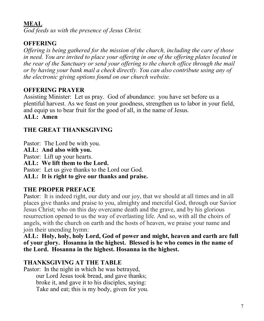#### **MEAL**

*God feeds us with the presence of Jesus Christ.* 

#### **OFFERING**

*Offering is being gathered for the mission of the church, including the care of those in need. You are invited to place your offering in one of the offering plates located in the rear of the Sanctuary or send your offering to the church office through the mail or by having your bank mail a check directly. You can also contribute using any of the electronic giving options found on our church website.* 

#### **OFFERING PRAYER**

Assisting Minister: Let us pray. God of abundance: you have set before us a plentiful harvest. As we feast on your goodness, strengthen us to labor in your field, and equip us to bear fruit for the good of all, in the name of Jesus. **ALL: Amen**

#### **THE GREAT THANKSGIVING**

Pastor: The Lord be with you.

**ALL: And also with you.**

Pastor: Lift up your hearts.

**ALL: We lift them to the Lord.**

Pastor: Let us give thanks to the Lord our God.

**ALL: It is right to give our thanks and praise.**

#### **THE PROPER PREFACE**

Pastor: It is indeed right, our duty and our joy, that we should at all times and in all places give thanks and praise to you, almighty and merciful God, through our Savior Jesus Christ; who on this day overcame death and the grave, and by his glorious resurrection opened to us the way of everlasting life. And so, with all the choirs of angels, with the church on earth and the hosts of heaven, we praise your name and join their unending hymn:

**ALL: Holy, holy, holy Lord, God of power and might, heaven and earth are full of your glory. Hosanna in the highest. Blessed is he who comes in the name of the Lord. Hosanna in the highest. Hosanna in the highest.**

#### **THANKSGIVING AT THE TABLE**

Pastor: In the night in which he was betrayed, our Lord Jesus took bread, and gave thanks; broke it, and gave it to his disciples, saying: Take and eat; this is my body, given for you.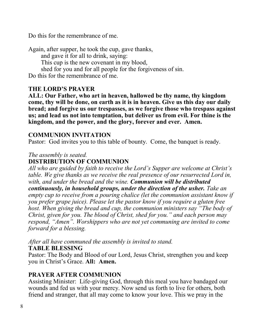Do this for the remembrance of me.

Again, after supper, he took the cup, gave thanks, and gave it for all to drink, saying: This cup is the new covenant in my blood, shed for you and for all people for the forgiveness of sin. Do this for the remembrance of me.

#### **THE LORD'S PRAYER**

**ALL: Our Father, who art in heaven, hallowed be thy name, thy kingdom come, thy will be done, on earth as it is in heaven. Give us this day our daily bread; and forgive us our trespasses, as we forgive those who trespass against us; and lead us not into temptation, but deliver us from evil. For thine is the kingdom, and the power, and the glory, forever and ever. Amen.**

#### **COMMUNION INVITATION**

Pastor: God invites you to this table of bounty. Come, the banquet is ready.

#### *The assembly is seated.* **DISTRIBUTION OF COMMUNION**

*All who are guided by faith to receive the Lord's Supper are welcome at Christ's table. We give thanks as we receive the real presence of our resurrected Lord in, with, and under the bread and the wine. Communion will be distributed continuously, in household groups, under the direction of the usher. Take an empty cup to receive from a pouring chalice (let the communion assistant know if you prefer grape juice). Please let the pastor know if you require a gluten free host. When giving the bread and cup, the communion ministers say "The body of Christ, given for you. The blood of Christ, shed for you." and each person may respond, "Amen". Worshippers who are not yet communing are invited to come forward for a blessing.* 

*After all have communed the assembly is invited to stand.* **TABLE BLESSING**

Pastor: The Body and Blood of our Lord, Jesus Christ, strengthen you and keep you in Christ's Grace. **All: Amen.**

#### **PRAYER AFTER COMMUNION**

Assisting Minister: Life-giving God, through this meal you have bandaged our wounds and fed us with your mercy. Now send us forth to live for others, both friend and stranger, that all may come to know your love. This we pray in the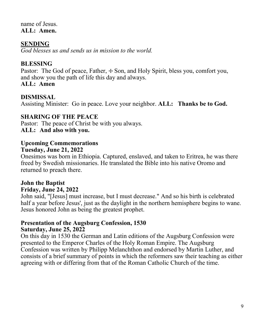name of Jesus. **ALL: Amen.**

#### **SENDING**

*God blesses us and sends us in mission to the world.*

#### **BLESSING**

Pastor: The God of peace, Father, + Son, and Holy Spirit, bless you, comfort you, and show you the path of life this day and always.

#### **ALL: Amen**

#### **DISMISSAL**

Assisting Minister: Go in peace. Love your neighbor. **ALL: Thanks be to God.**

#### **SHARING OF THE PEACE**

Pastor: The peace of Christ be with you always. **ALL: And also with you.**

#### **Upcoming Commemorations**

#### **Tuesday, June 21, 2022**

Onesimos was born in Ethiopia. Captured, enslaved, and taken to Eritrea, he was there freed by Swedish missionaries. He translated the Bible into his native Oromo and returned to preach there.

### **John the Baptist**

#### **Friday, June 24, 2022**

John said, "[Jesus] must increase, but I must decrease." And so his birth is celebrated half a year before Jesus', just as the daylight in the northern hemisphere begins to wane. Jesus honored John as being the greatest prophet.

#### **Presentation of the Augsburg Confession, 1530 Saturday, June 25, 2022**

On this day in 1530 the German and Latin editions of the Augsburg Confession were presented to the Emperor Charles of the Holy Roman Empire. The Augsburg Confession was written by Philipp Melanchthon and endorsed by Martin Luther, and consists of a brief summary of points in which the reformers saw their teaching as either agreeing with or differing from that of the Roman Catholic Church of the time.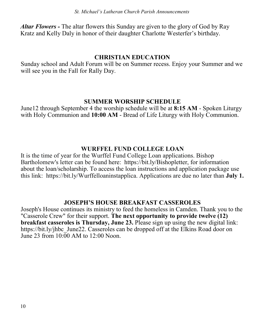*Altar Flowers -* The altar flowers this Sunday are given to the glory of God by Ray Kratz and Kelly Daly in honor of their daughter Charlotte Westerfer's birthday.

#### **CHRISTIAN EDUCATION**

Sunday school and Adult Forum will be on Summer recess. Enjoy your Summer and we will see you in the Fall for Rally Day.

#### **SUMMER WORSHIP SCHEDULE**

June12 through September 4 the worship schedule will be at **8:15 AM** - Spoken Liturgy with Holy Communion and **10:00 AM** - Bread of Life Liturgy with Holy Communion.

#### **WURFFEL FUND COLLEGE LOAN**

It is the time of year for the Wurffel Fund College Loan applications. Bishop Bartholomew's letter can be found here: https://bit.ly/Bishopletter, for information about the loan/scholarship. To access the loan instructions and application package use this link: https://bit.ly/Wurffelloaninstapplica. Applications are due no later than **July 1.** 

#### **JOSEPH'S HOUSE BREAKFAST CASSEROLES**

Joseph's House continues its ministry to feed the homeless in Camden. Thank you to the "Casserole Crew" for their support. **The next opportunity to provide twelve (12) breakfast casseroles is Thursday, June 23.** Please sign up using the new digital link: https://bit.ly/jhbc\_June22. Casseroles can be dropped off at the Elkins Road door on June 23 from 10:00 AM to 12:00 Noon.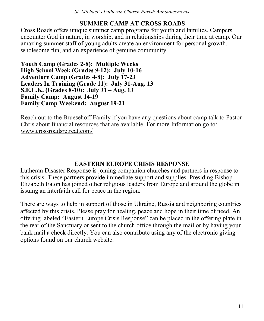#### **SUMMER CAMP AT CROSS ROADS**

Cross Roads offers unique summer camp programs for youth and families. Campers encounter God in nature, in worship, and in relationships during their time at camp. Our amazing summer staff of young adults create an environment for personal growth, wholesome fun, and an experience of genuine community.

**Youth Camp (Grades 2-8): Multiple Weeks High School Week (Grades 9-12): July 10-16 Adventure Camp (Grades 4-8): July 17-23 Leaders In Training (Grade 11): July 31-Aug. 13 S.E.E.K. (Grades 8-10): July 31 – Aug. 13 Family Camp: August 14-19 Family Camp Weekend: August 19-21**

Reach out to the Bruesehoff Family if you have any questions about camp talk to Pastor Chris about financial resources that are available. For more Information go to[:](http://r20.rs6.net/tn.jsp?f=001p59XbXimv0I8xhlt8iYO7iGAu891L5NsEPCmQ3eMbkeK392YMtlR91xDTg_ht2yqimBUdCz9qDAN-7LiKC974kCDYldlnGNzAqP9G4IZYjqKMrqHUlXbf-dHCEdMjyve4AYlKBkjKLjz9PIsbEZ9hs-1Lv1TQhGJ&c=S-n1qoC6au4wf8ApNKt9ipfXfWdxawlWPJU5tux6ubZ7NX8L4BlJMQ==&ch=kmEY4)  [www.crossroadsretreat.com/](http://r20.rs6.net/tn.jsp?f=001p59XbXimv0I8xhlt8iYO7iGAu891L5NsEPCmQ3eMbkeK392YMtlR91xDTg_ht2yqimBUdCz9qDAN-7LiKC974kCDYldlnGNzAqP9G4IZYjqKMrqHUlXbf-dHCEdMjyve4AYlKBkjKLjz9PIsbEZ9hs-1Lv1TQhGJ&c=S-n1qoC6au4wf8ApNKt9ipfXfWdxawlWPJU5tux6ubZ7NX8L4BlJMQ==&ch=kmEY4)

#### **EASTERN EUROPE CRISIS RESPONSE**

Lutheran Disaster Response is joining companion churches and partners in response to this crisis. These partners provide immediate support and supplies. Presiding Bishop Elizabeth Eaton has joined other religious leaders from Europe and around the globe in issuing an interfaith call for peace in the region.

There are ways to help in support of those in Ukraine, Russia and neighboring countries affected by this crisis. Please pray for healing, peace and hope in their time of need. An offering labeled "Eastern Europe Crisis Response" can be placed in the offering plate in the rear of the Sanctuary or sent to the church office through the mail or by having your bank mail a check directly. You can also contribute using any of the electronic giving options found on our church website.